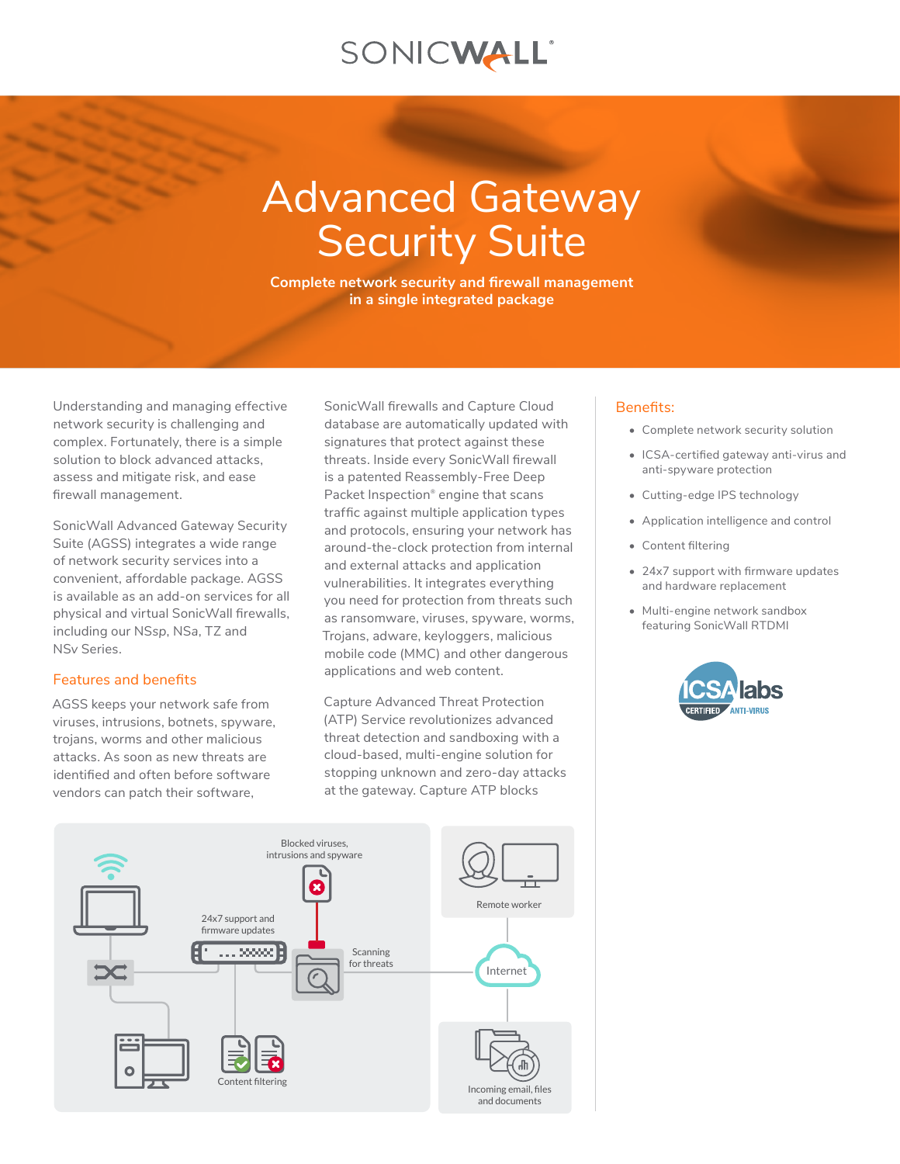## SONICWALL®

# Advanced Gateway **Security Suite**

**Complete network security and firewall management in a single integrated package**

Understanding and managing effective network security is challenging and complex. Fortunately, there is a simple solution to block advanced attacks, assess and mitigate risk, and ease firewall management.

SonicWall Advanced Gateway Security Suite (AGSS) integrates a wide range of network security services into a convenient, affordable package. AGSS is available as an add-on services for all physical and virtual SonicWall firewalls, including our NS*sp*, NS*a*, TZ and NS*v* Series.

### Features and benefits

AGSS keeps your network safe from viruses, intrusions, botnets, spyware, trojans, worms and other malicious attacks. As soon as new threats are identified and often before software vendors can patch their software,

SonicWall firewalls and Capture Cloud database are automatically updated with signatures that protect against these threats. Inside every SonicWall firewall is a patented Reassembly-Free Deep Packet Inspection<sup>®</sup> engine that scans traffic against multiple application types and protocols, ensuring your network has around-the-clock protection from internal and external attacks and application vulnerabilities. It integrates everything you need for protection from threats such as ransomware, viruses, spyware, worms, Trojans, adware, keyloggers, malicious mobile code (MMC) and other dangerous applications and web content.

Capture Advanced Threat Protection (ATP) Service revolutionizes advanced threat detection and sandboxing with a cloud-based, multi-engine solution for stopping unknown and zero-day attacks at the gateway. Capture ATP blocks

#### Benefits:

- Complete network security solution
- ICSA-certified gateway anti-virus and anti-spyware protection
- Cutting-edge IPS technology
- Application intelligence and control
- Content filtering
- 24x7 support with firmware updates and hardware replacement
- Multi-engine network sandbox featuring SonicWall RTDMI



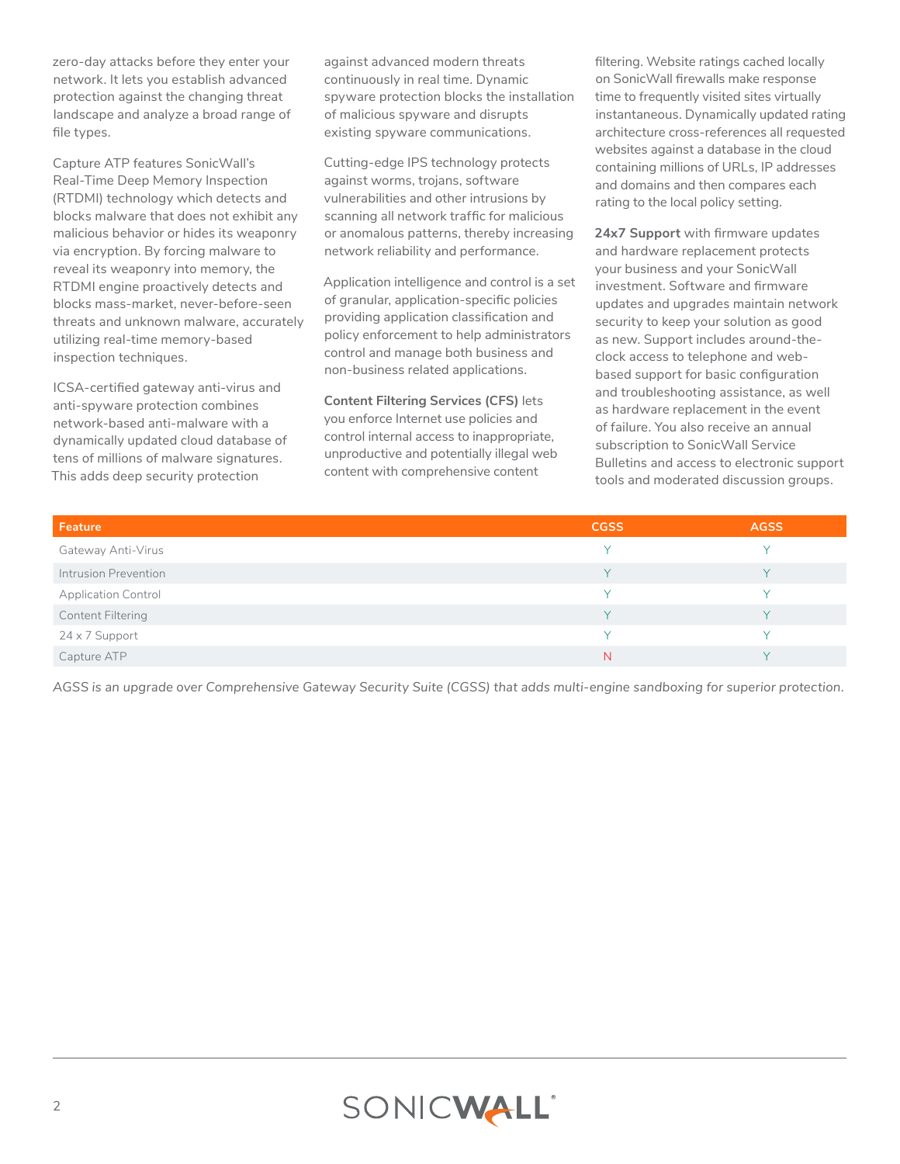zero-day attacks before they enter your network. It lets you establish advanced protection against the changing threat landscape and analyze a broad range of file types.

Capture ATP features SonicWall's Real-Time Deep Memory Inspection (RTDMI) technology which detects and blocks malware that does not exhibit any malicious behavior or hides its weaponry via encryption. By forcing malware to reveal its weaponry into memory, the RTDMI engine proactively detects and blocks mass-market, never-before-seen threats and unknown malware, accurately utilizing real-time memory-based inspection techniques.

ICSA-certified gateway anti-virus and anti-spyware protection combines network-based anti-malware with a dynamically updated cloud database of tens of millions of malware signatures. This adds deep security protection

against advanced modern threats continuously in real time. Dynamic spyware protection blocks the installation of malicious spyware and disrupts existing spyware communications.

Cutting-edge IPS technology protects against worms, trojans, software vulnerabilities and other intrusions by scanning all network traffic for malicious or anomalous patterns, thereby increasing network reliability and performance.

Application intelligence and control is a set of granular, application-specific policies providing application classification and policy enforcement to help administrators control and manage both business and non-business related applications.

**Content Filtering Services (CFS)** lets you enforce Internet use policies and control internal access to inappropriate, unproductive and potentially illegal web content with comprehensive content

filtering. Website ratings cached locally on SonicWall firewalls make response time to frequently visited sites virtually instantaneous. Dynamically updated rating architecture cross-references all requested websites against a database in the cloud containing millions of URLs, IP addresses and domains and then compares each rating to the local policy setting.

**24x7 Support** with firmware updates and hardware replacement protects your business and your SonicWall investment. Software and firmware updates and upgrades maintain network security to keep your solution as good as new. Support includes around-theclock access to telephone and webbased support for basic configuration and troubleshooting assistance, as well as hardware replacement in the event of failure. You also receive an annual subscription to SonicWall Service Bulletins and access to electronic support tools and moderated discussion groups.

| Feature                    | <b>CGSS</b>  | <b>AGSS</b> |
|----------------------------|--------------|-------------|
| Gateway Anti-Virus         | $\checkmark$ |             |
| Intrusion Prevention       | $\vee$       | $\vee$      |
| <b>Application Control</b> | $\checkmark$ |             |
| Content Filtering          | <b>V</b>     |             |
| 24 x 7 Support             | $\checkmark$ |             |
| Capture ATP                | N            |             |

*AGSS is an upgrade over Comprehensive Gateway Security Suite (CGSS) that adds multi-engine sandboxing for superior protection.*